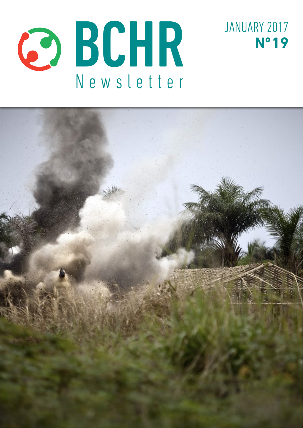



JANUARY 2017

**Nº 19**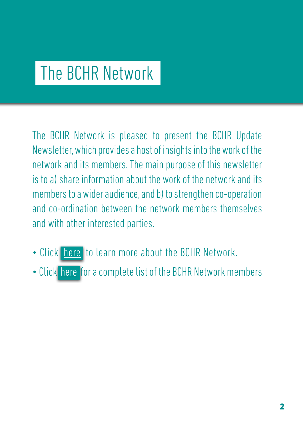## The BCHR Network

The BCHR Network is pleased to present the BCHR Update Newsletter, which provides a host of insights into the work of the network and its members. The main purpose of this newsletter is to a) share information about the work of the network and its members to a wider audience, and b) to strengthen co-operation and co-ordination between the network members themselves and with other interested parties.

- Click [here](http://www.networkbchr.org) to learn more about the BCHR Network.
- Click [here](mailto:bh.int%40cbs.dk?subject=) for a complete list of the BCHR Network members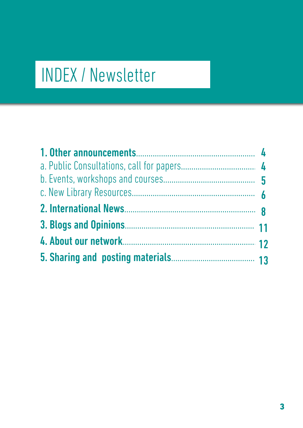## INDEX / Newsletter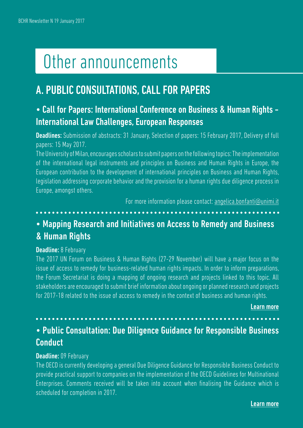## Other announcements

## A. PUBLIC CONSULTATIONS, CALL FOR PAPERS

#### • Call for Papers: International Conference on Business & Human Rights - International Law Challenges, European Responses

Deadlines: Submission of abstracts: 31 January, Selection of papers: 15 February 2017, Delivery of full papers: 15 May 2017.

The University of Milan, encourages scholars to submit papers on the following topics: The implementation of the international legal instruments and principles on Business and Human Rights in Europe, the European contribution to the development of international principles on Business and Human Rights, legislation addressing corporate behavior and the provision for a human rights due diligence process in Europe, amongst others.

For more information please contact: [angelica.bonfanti@unimi.it](mailto:angelica.bonfanti%40unimi.it?subject=)

#### • Mapping Research and Initiatives on Access to Remedy and Business & Human Rights

#### Deadline: 8 February

The 2017 UN Forum on Business & Human Rights (27-29 November) will have a major focus on the issue of access to remedy for business-related human rights impacts. In order to inform preparations, the Forum Secretariat is doing a mapping of ongoing research and projects linked to this topic. All stakeholders are encouraged to submit brief information about ongoing or planned research and projects for 2017-18 related to the issue of access to remedy in the context of business and human rights.

[Learn more](http://tinyurl.com/jghuynd)

## • Public Consultation: Due Diligence Guidance for Responsible Business **Conduct**

#### Deadline: 09 February

The OECD is currently developing a general Due Diligence Guidance for Responsible Business Conduct to provide practical support to companies on the implementation of the OECD Guidelines for Multinational Enterprises. Comments received will be taken into account when finalising the Guidance which is scheduled for completion in 2017.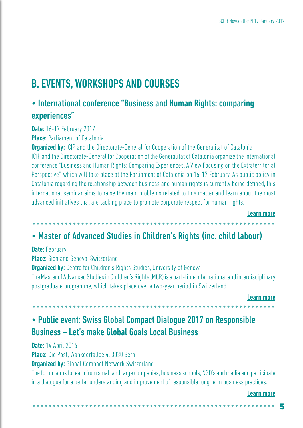## B. EVENTS, WORKSHOPS AND COURSES

### • International conference "Business and Human Rights: comparing experiences"

#### Date: 16-17 February 2017

Place: Parliament of Catalonia

**Organized by:** ICIP and the Directorate-General for Cooperation of the Generalitat of Catalonia ICIP and the Directorate-General for Cooperation of the Generalitat of Catalonia organize the international conference "Business and Human Rights: Comparing Experiences. A View Focusing on the Extraterritorial Perspective", which will take place at the Parliament of Catalonia on 16-17 February. As public policy in Catalonia regarding the relationship between business and human rights is currently being defined, this international seminar aims to raise the main problems related to this matter and learn about the most advanced initiatives that are tacking place to promote corporate respect for human rights.

[Learn more](http://icip.gencat.cat/en/detalls/Activitat_Agenda/Empreses-i-Drets-Humans)

#### • Master of Advanced Studies in Children's Rights (inc. child labour)

#### Date: February

Place: Sion and Geneva, Switzerland **Organized by:** Centre for Children's Rights Studies, University of Geneva The Master of Advanced Studies in Children's Rights (MCR) is a part-time international and interdisciplinary postgraduate programme, which takes place over a two-year period in Switzerland.

[Learn more](http://www.unige.ch/mcr/)

### • Public event: Swiss Global Compact Dialogue 2017 on Responsible Business – Let's make Global Goals Local Business

**Date: 14 April 2016** Place: Die Post, Wankdorfallee 4, 3030 Bern **Organized by:** Global Compact Network Switzerland

The forum aims to learn from small and large companies, business schools, NGO's and media and participate in a dialogue for a better understanding and improvement of responsible long term business practices.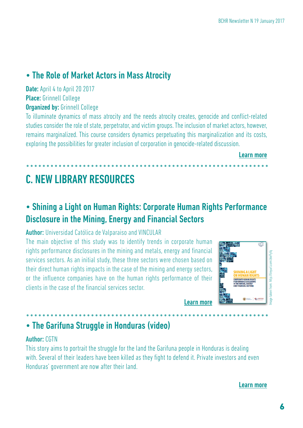#### • The Role of Market Actors in Mass Atrocity

Date: April 4 to April 20 2017 Place: Grinnell College **Organized by: Grinnell College** 

To illuminate dynamics of mass atrocity and the needs atrocity creates, genocide and conflict-related studies consider the role of state, perpetrator, and victim groups. The inclusion of market actors, however, remains marginalized. This course considers dynamics perpetuating this marginalization and its costs, exploring the possibilities for greater inclusion of corporation in genocide-related discussion.

[Learn more](http://tinyurl.com/gp5mr35)

## C. NEW LIBRARY RESOURCES

### • Shining a Light on Human Rights: Corporate Human Rights Performance Disclosure in the Mining, Energy and Financial Sectors

#### Author: Universidad Católica de Valparaiso and VINCULAR

The main objective of this study was to identify trends in corporate human rights performance disclosures in the mining and metals, energy and financial services sectors. As an initial study, these three sectors were chosen based on their direct human rights impacts in the case of the mining and energy sectors, or the influence companies have on the human rights performance of their clients in the case of the financial services sector.



[Learn more](http://tinyurl.com/zke9yfq)

#### • The Garifuna Struggle in Honduras (video)

#### Author: CGTN

This story aims to portrait the struggle for the land the Garifuna people in Honduras is dealing with. Several of their leaders have been killed as they fight to defend it. Private investors and even Honduras' government are now after their land.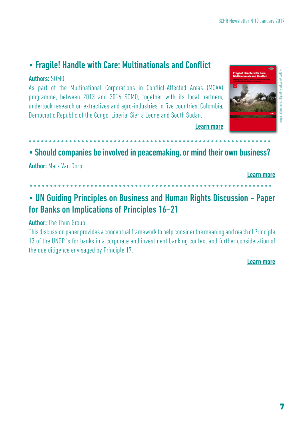### • Fragile! Handle with Care: Multinationals and Conflict

#### Authors: SOMO

As part of the Multinational Corporations in Conflict-Affected Areas (MCAA) programme, between 2013 and 2016 SOMO, together with its local partners, undertook research on extractives and agro-industries in five countries, Colombia, Democratic Republic of the Congo, Liberia, Sierra Leone and South Sudan.



[Learn more](http://tinyurl.com/jcwt7y3)

## • Should companies be involved in peacemaking, or mind their own business?

Author: Mark Van Dorp

[Learn more](https://tinyurl.com/j79sf9x)

#### • UN Guiding Principles on Business and Human Rights Discussion - Paper for Banks on Implications of Principles 16–21

#### Author: The Thun Group

This discussion paper provides a conceptual framework to help consider the meaning and reach of Principle 13 of the UNGP´s for banks in a corporate and investment banking context and further consideration of the due diligence envisaged by Principle 17.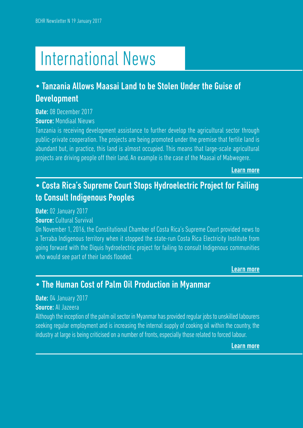## International News

### • Tanzania Allows Maasai Land to be Stolen Under the Guise of Development

Date: 08 December 2017

Source: Mondiaal Nieuws

Tanzania is receiving development assistance to further develop the agricultural sector through public-private cooperation. The projects are being promoted under the premise that fertile land is abundant but, in practice, this land is almost occupied. This means that large-scale agricultural projects are driving people off their land. An example is the case of the Maasai of Mabwegere.

[Learn more](http://tinyurl.com/zyzpn2g )

### • Costa Rica's Supreme Court Stops Hydroelectric Project for Failing to Consult Indigenous Peoples

Date: 02 January 2017

Source: Cultural Survival

On November 1, 2016, the Constitutional Chamber of Costa Rica's Supreme Court provided news to a Terraba Indigenous territory when it stopped the state-run Costa Rica Electricity Institute from going forward with the Diquis hydroelectric project for failing to consult Indigenous communities who would see part of their lands flooded.

[Learn more](http://tinyurl.com/jj7v34k)

#### • The Human Cost of Palm Oil Production in Myanmar

Date: 04 January 2017

Source: Al Jazeera

Although the inception of the palm oil sector in Myanmar has provided regular jobs to unskilled labourers seeking regular employment and is increasing the internal supply of cooking oil within the country, the industry at large is being criticised on a number of fronts, especially those related to forced labour.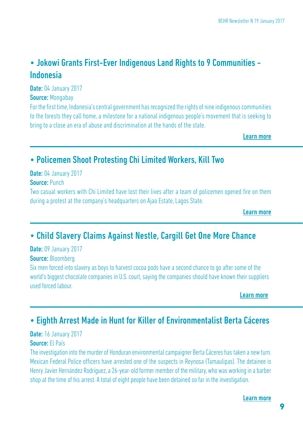## • Jokowi Grants First-Ever Indigenous Land Rights to 9 Communities - Indonesia

Date: 04 January 2017

#### Source: Mongabay

For the first time, Indonesia's central government has recognized the rights of nine indigenous communities to the forests they call home, a milestone for a national indigenous people's movement that is seeking to bring to a close an era of abuse and discrimination at the hands of the state.

[Learn more](http://tinyurl.com/zpnnbjg )

#### • Policemen Shoot Protesting Chi Limited Workers, Kill Two

Date: 04 January 2017 Source: Punch

Two casual workers with Chi Limited have lost their lives after a team of policemen opened fire on them during a protest at the company's headquarters on Ajao Estate, Lagos State.

[Learn more](http://tinyurl.com/hojk7xg)

#### • Child Slavery Claims Against Nestle, Cargill Get One More Chance

Date: 09 January 2017

Source: Bloomberg

Six men forced into slavery as boys to harvest cocoa pods have a second chance to go after some of the world's biggest chocolate companies in U.S. court, saying the companies should have known their suppliers used forced labour.

[Learn more](http://tinyurl.com/gvu8g8q)

### • Eighth Arrest Made in Hunt for Killer of Environmentalist Berta Cáceres

Date: 16 January 2017 Source: El País

The investigation into the murder of Honduran environmental campaigner Berta Cáceres has taken a new turn. Mexican Federal Police officers have arrested one of the suspects in Reynosa (Tamaulipas). The detainee is Henry Javier Hernández Rodríguez, a 26-year-old former member of the military, who was working in a barber shop at the time of his arrest. A total of eight people have been detained so far in the investigation.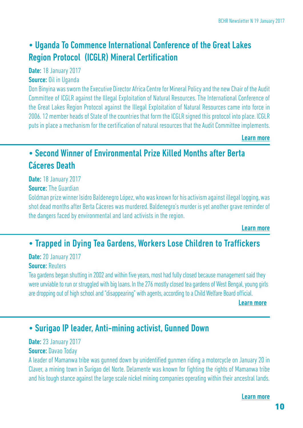### • Uganda To Commence International Conference of the Great Lakes Region Protocol (ICGLR) Mineral Certification

#### Date: 18 January 2017

Source: Oil in Uganda

Don Binyina was sworn the Executive Director Africa Centre for Mineral Policy and the new Chair of the Audit Committee of ICGLR against the Illegal Exploitation of Natural Resources. The International Conference of the Great Lakes Region Protocol against the Illegal Exploitation of Natural Resources came into force in 2006. 12 member heads of State of the countries that form the ICGLR signed this protocol into place. ICGLR puts in place a mechanism for the certification of natural resources that the Audit Committee implements.

[Learn more](http://tinyurl.com/gmp3r8z)

#### • Second Winner of Environmental Prize Killed Months after Berta Cáceres Death

Date: 18 January 2017

**Source:** The Guardian

Goldman prize winner Isidro Baldenegro López, who was known for his activism against illegal logging, was shot dead months after Berta Cáceres was murdered. Baldenegro's murder is yet another grave reminder of the dangers faced by environmental and land activists in the region.

[Learn more](http://tinyurl.com/hm9wveq)

#### • Trapped in Dying Tea Gardens, Workers Lose Children to Traffickers

Date: 20 January 2017

Source: Reuters

Tea gardens began shutting in 2002 and within five years, most had fully closed because management said they were unviable to run or struggled with big loans. In the 276 mostly closed tea gardens of West Bengal, young girls are dropping out of high school and "disappearing" with agents, according to a Child Welfare Board official.

[Learn more](http://tinyurl.com/hu8rhaa)

#### • Surigao IP leader, Anti-mining activist, Gunned Down

Date: 23 January 2017

Source: Davao Today

A leader of Mamanwa tribe was gunned down by unidentified gunmen riding a motorcycle on January 20 in Claver, a mining town in Surigao del Norte. Delamente was known for fighting the rights of Mamanwa tribe and his tough stance against the large scale nickel mining companies operating within their ancestral lands.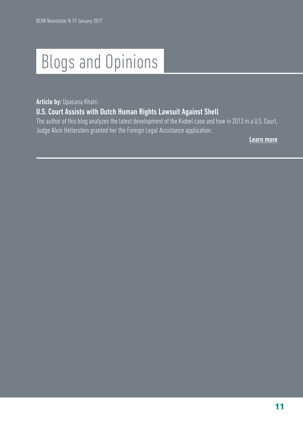# Blogs and Opinions

Article by: Upasana Khatri U.S. Court Assists with Dutch Human Rights Lawsuit Against Shell

The author of this blog analyzes the latest development of the Kiobel case and how in 2013 in a U.S. Court, Judge Alvin Hellerstein granted her the Foreign Legal Assistance application.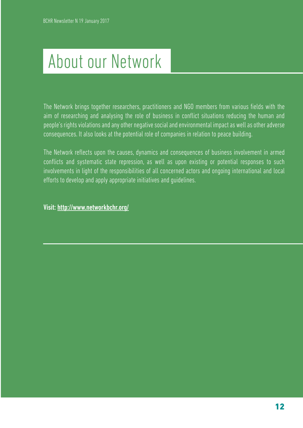## About our Network

The Network brings together researchers, practitioners and NGO members from various fields with the aim of researching and analysing the role of business in conflict situations reducing the human and people's rights violations and any other negative social and environmental impact as well as other adverse consequences. It also looks at the potential role of companies in relation to peace building.

The Network reflects upon the causes, dynamics and consequences of business involvement in armed conflicts and systematic state repression, as well as upon existing or potential responses to such involvements in light of the responsibilities of all concerned actors and ongoing international and local efforts to develop and apply appropriate initiatives and guidelines.

Visit: <http://www.networkbchr.org/>